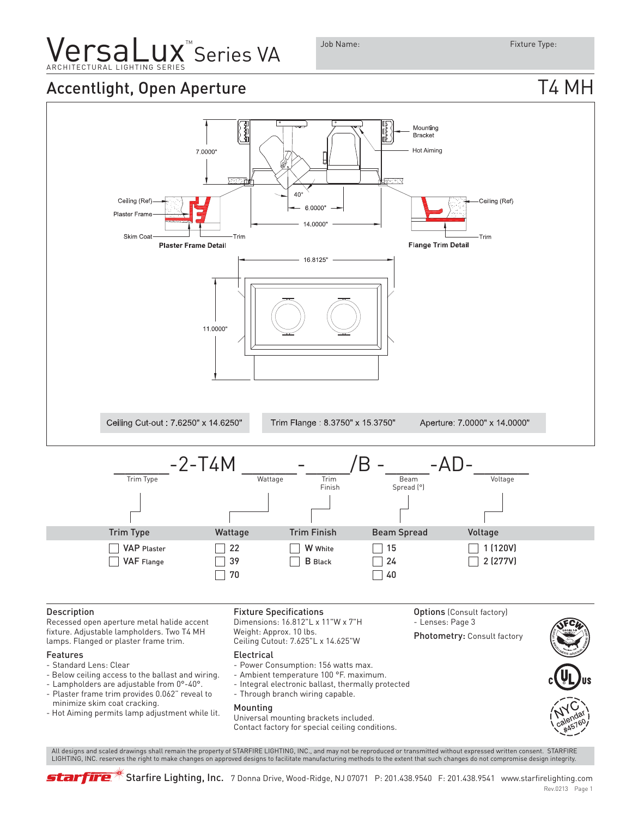### **VersaLux** Series VA ARCHITECTURAL LIGHTING SERIES

Job Name: Fixture Type:

### Accentlight, Open Aperture T4 MH



Universal mounting brackets included. Contact factory for special ceiling conditions.

 All designs and scaled drawings shall remain the property of STARFIRE LIGHTING, INC., and may not be reproduced or transmitted without expressed written consent. STARFIRE LIGHTING, INC. reserves the right to make changes on approved designs to facilitate manufacturing methods to the extent that such changes do not compromise design integrity.



 $*$  Starfire Lighting, Inc. 7 Donna Drive, Wood-Ridge, NJ 07071 P: 201.438.9540 F: 201.438.9541 www.starfirelighting.com Rev.0213 Page 1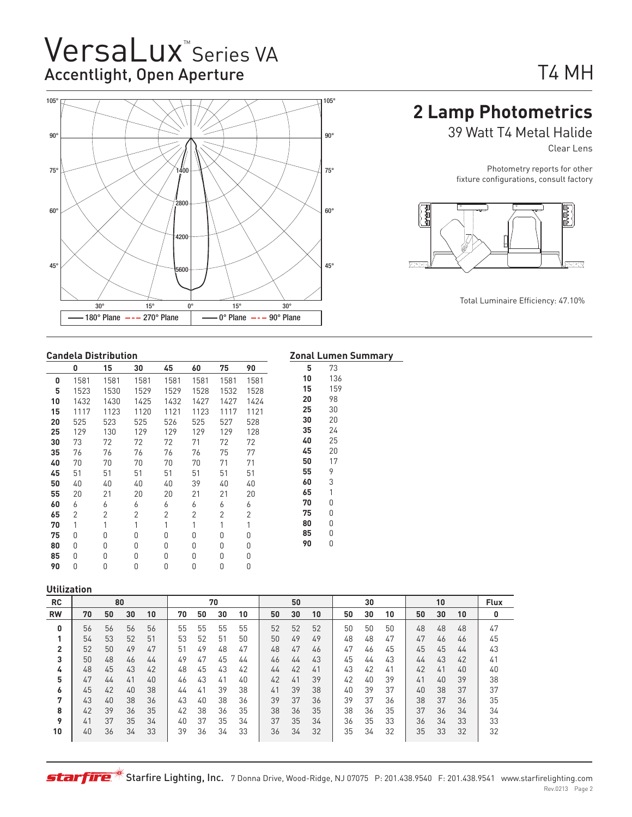# VersaLux<sup>"</sup>Series VA Accentlight, Open Aperture



## T4 MH

### **2 Lamp Photometrics**

39 Watt T4 Metal Halide

Clear Lens

Photometry reports for other fixture configurations, consult factory



#### **Candela Distribution**

|    | 0    | 15   | 30   | 45   | 60   | 75   | 90   | 5  | 73  |
|----|------|------|------|------|------|------|------|----|-----|
| 0  | 1581 | 1581 | 1581 | 1581 | 1581 | 1581 | 1581 | 10 | 136 |
| 5  | 1523 | 1530 | 1529 | 1529 | 1528 | 1532 | 1528 | 15 | 159 |
| 10 | 1432 | 1430 | 1425 | 1432 | 1427 | 1427 | 1424 | 20 | 98  |
| 15 | 1117 | 1123 | 1120 | 1121 | 1123 | 1117 | 1121 | 25 | 30  |
| 20 | 525  | 523  | 525  | 526  | 525  | 527  | 528  | 30 | 20  |
| 25 | 129  | 130  | 129  | 129  | 129  | 129  | 128  | 35 | 24  |
| 30 | 73   | 72   | 72   | 72   | 71   | 72   | 72   | 40 | 25  |
| 35 | 76   | 76   | 76   | 76   | 76   | 75   | 77   | 45 | 20  |
| 40 | 70   | 70   | 70   | 70   | 70   | 71   | 71   | 50 | 17  |
| 45 | 51   | 51   | 51   | 51   | 51   | 51   | 51   | 55 | 9   |
| 50 | 40   | 40   | 40   | 40   | 39   | 40   | 40   | 60 | 3   |
| 55 | 20   | 21   | 20   | 20   | 21   | 21   | 20   | 65 | 1   |
| 60 | 6    | 6    | 6    | 6    | 6    | 6    | 6    | 70 | 0   |
| 65 | 2    | 2    | 2    | 2    | 2    | 2    | 2    | 75 | 0   |
| 70 | 1    | 1    | 1    | 1    | 1    | 1    | 1    | 80 | 0   |
| 75 | 0    | 0    | 0    | 0    | 0    | 0    | 0    | 85 | 0   |
| 80 | Ŋ    | 0    | 0    | 0    | 0    | 0    | 0    | 90 | 0   |
| 85 | 0    | 0    | 0    | 0    | 0    | 0    | 0    |    |     |
| 90 | 0    | 0    | 0    | 0    | 0    | 0    | 0    |    |     |
|    |      |      |      |      |      |      |      |    |     |

### **Zonal Lumen Summary**

#### **Utilization**

| --------- |    |    |    |    |    |    |    |    |    |    |    |    |    |    |    |    |    |             |
|-----------|----|----|----|----|----|----|----|----|----|----|----|----|----|----|----|----|----|-------------|
| <b>RC</b> |    |    | 80 |    |    |    | 70 |    |    | 50 |    |    | 30 |    |    | 10 |    | <b>Flux</b> |
| <b>RW</b> | 70 | 50 | 30 | 10 | 70 | 50 | 30 | 10 | 50 | 30 | 10 | 50 | 30 | 10 | 50 | 30 | 10 |             |
| 0         | 56 | 56 | 56 | 56 | 55 | 55 | 55 | 55 | 52 | 52 | 52 | 50 | 50 | 50 | 48 | 48 | 48 | 47          |
| п.        | 54 | 53 | 52 | 51 | 53 | 52 | 51 | 50 | 50 | 49 | 49 | 48 | 48 | 47 | 47 | 46 | 46 | 45          |
| 2         | 52 | 50 | 49 | 47 | 51 | 49 | 48 | 47 | 48 | 47 | 46 | 47 | 46 | 45 | 45 | 45 | 44 | 43          |
| 3         | 50 | 48 | 46 | 44 | 49 | 47 | 45 | 44 | 46 | 44 | 43 | 45 | 44 | 43 | 44 | 43 | 42 | 41          |
| 4         | 48 | 45 | 43 | 42 | 48 | 45 | 43 | 42 | 44 | 42 | 41 | 43 | 42 | 41 | 42 | 41 | 40 | 40          |
| 5         | 47 | 44 | 41 | 40 | 46 | 43 | 41 | 40 | 42 | 41 | 39 | 42 | 40 | 39 | 41 | 40 | 39 | 38          |
| ь         | 45 | 42 | 40 | 38 | 44 | 41 | 39 | 38 | 41 | 39 | 38 | 40 | 39 | 37 | 40 | 38 | 37 | 37          |
| 7         | 43 | 40 | 38 | 36 | 43 | 40 | 38 | 36 | 39 | 37 | 36 | 39 | 37 | 36 | 38 | 37 | 36 | 35          |
| 8         | 42 | 39 | 36 | 35 | 42 | 38 | 36 | 35 | 38 | 36 | 35 | 38 | 36 | 35 | 37 | 36 | 34 | 34          |
| 9         | 41 | 37 | 35 | 34 | 40 | 37 | 35 | 34 | 37 | 35 | 34 | 36 | 35 | 33 | 36 | 34 | 33 | 33          |
| 10        | 40 | 36 | 34 | 33 | 39 | 36 | 34 | 33 | 36 | 34 | 32 | 35 | 34 | 32 | 35 | 33 | 32 | 32          |
|           |    |    |    |    |    |    |    |    |    |    |    |    |    |    |    |    |    |             |